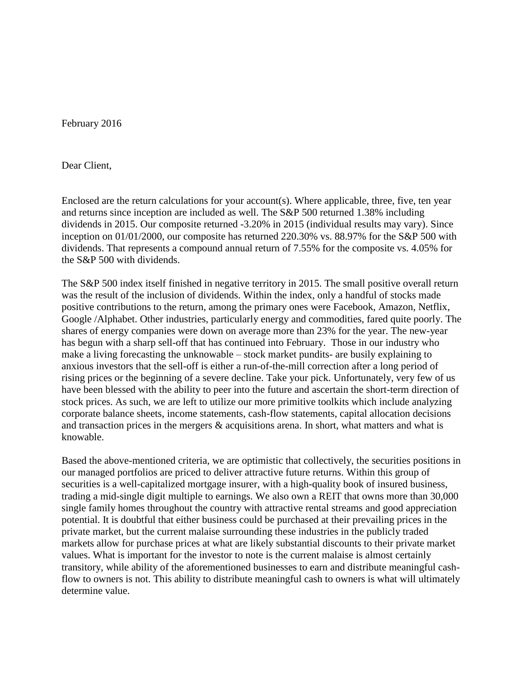February 2016

Dear Client,

Enclosed are the return calculations for your account(s). Where applicable, three, five, ten year and returns since inception are included as well. The S&P 500 returned 1.38% including dividends in 2015. Our composite returned -3.20% in 2015 (individual results may vary). Since inception on 01/01/2000, our composite has returned 220.30% vs. 88.97% for the S&P 500 with dividends. That represents a compound annual return of 7.55% for the composite vs. 4.05% for the S&P 500 with dividends.

The S&P 500 index itself finished in negative territory in 2015. The small positive overall return was the result of the inclusion of dividends. Within the index, only a handful of stocks made positive contributions to the return, among the primary ones were Facebook, Amazon, Netflix, Google /Alphabet. Other industries, particularly energy and commodities, fared quite poorly. The shares of energy companies were down on average more than 23% for the year. The new-year has begun with a sharp sell-off that has continued into February. Those in our industry who make a living forecasting the unknowable – stock market pundits- are busily explaining to anxious investors that the sell-off is either a run-of-the-mill correction after a long period of rising prices or the beginning of a severe decline. Take your pick. Unfortunately, very few of us have been blessed with the ability to peer into the future and ascertain the short-term direction of stock prices. As such, we are left to utilize our more primitive toolkits which include analyzing corporate balance sheets, income statements, cash-flow statements, capital allocation decisions and transaction prices in the mergers & acquisitions arena. In short, what matters and what is knowable.

Based the above-mentioned criteria, we are optimistic that collectively, the securities positions in our managed portfolios are priced to deliver attractive future returns. Within this group of securities is a well-capitalized mortgage insurer, with a high-quality book of insured business, trading a mid-single digit multiple to earnings. We also own a REIT that owns more than 30,000 single family homes throughout the country with attractive rental streams and good appreciation potential. It is doubtful that either business could be purchased at their prevailing prices in the private market, but the current malaise surrounding these industries in the publicly traded markets allow for purchase prices at what are likely substantial discounts to their private market values. What is important for the investor to note is the current malaise is almost certainly transitory, while ability of the aforementioned businesses to earn and distribute meaningful cashflow to owners is not. This ability to distribute meaningful cash to owners is what will ultimately determine value.